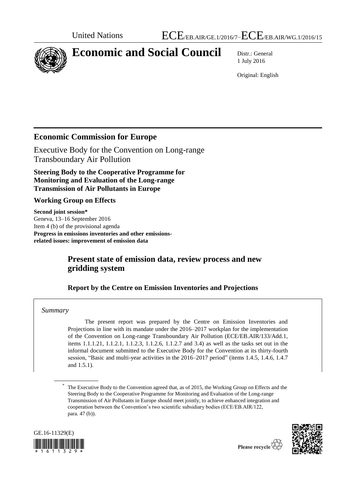

# **Economic and Social Council** Distr.: General

1 July 2016

Original: English

# **Economic Commission for Europe**

Executive Body for the Convention on Long-range Transboundary Air Pollution

**Steering Body to the Cooperative Programme for Monitoring and Evaluation of the Long-range Transmission of Air Pollutants in Europe** 

#### **Working Group on Effects**

**Second joint session\*** Geneva, 13–16 September 2016 Item 4 (b) of the provisional agenda **Progress in emissions inventories and other emissionsrelated issues: improvement of emission data**

# **Present state of emission data, review process and new gridding system**

#### **Report by the Centre on Emission Inventories and Projections**

#### *Summary*

The present report was prepared by the Centre on Emission Inventories and Projections in line with its mandate under the 2016–2017 workplan for the implementation of the Convention on Long-range Transboundary Air Pollution (ECE/EB.AIR/133/Add.1, items 1.1.1.21, 1.1.2.1, 1.1.2.3, 1.1.2.6, 1.1.2.7 and 3.4) as well as the tasks set out in the informal document submitted to the Executive Body for the Convention at its thirty-fourth session, "Basic and multi-year activities in the 2016–2017 period" (items 1.4.5, 1.4.6, 1.4.7 and 1.5.1).

<sup>\*</sup> The Executive Body to the Convention agreed that, as of 2015, the Working Group on Effects and the Steering Body to the Cooperative Programme for Monitoring and Evaluation of the Long-range Transmission of Air Pollutants in Europe should meet jointly, to achieve enhanced integration and cooperation between the Convention's two scientific subsidiary bodies (ECE/EB.AIR/122, para. 47 (b)).



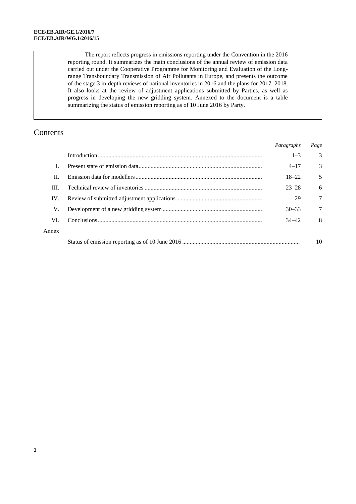The report reflects progress in emissions reporting under the Convention in the 2016 reporting round. It summarizes the main conclusions of the annual review of emission data carried out under the Cooperative Programme for Monitoring and Evaluation of the Longrange Transboundary Transmission of Air Pollutants in Europe, and presents the outcome of the stage 3 in-depth reviews of national inventories in 2016 and the plans for 2017–2018. It also looks at the review of adjustment applications submitted by Parties, as well as progress in developing the new gridding system. Annexed to the document is a table summarizing the status of emission reporting as of 10 June 2016 by Party.

# Contents

|       |  | <i>ruragrapns</i> | r uge |
|-------|--|-------------------|-------|
|       |  | $1 - 3$           | 3     |
|       |  | $4 - 17$          | 3     |
| II.   |  | $18 - 22$         | 5     |
| III.  |  | $23 - 28$         | 6     |
| IV.   |  | 29                | 7     |
| V.    |  | $30 - 33$         | 7     |
| VL.   |  | $34 - 42$         | 8     |
| Annex |  |                   |       |
|       |  |                   |       |
|       |  |                   |       |

*Paragraphs Page*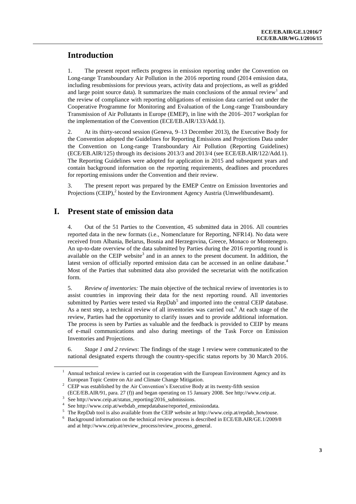# **Introduction**

1. The present report reflects progress in emission reporting under the Convention on Long-range Transboundary Air Pollution in the 2016 reporting round (2014 emission data, including resubmissions for previous years, activity data and projections, as well as gridded and large point source data). It summarizes the main conclusions of the annual review<sup>1</sup> and the review of compliance with reporting obligations of emission data carried out under the Cooperative Programme for Monitoring and Evaluation of the Long-range Transboundary Transmission of Air Pollutants in Europe (EMEP), in line with the 2016–2017 workplan for the implementation of the Convention (ECE/EB.AIR/133/Add.1).

2. At its thirty-second session (Geneva, 9–13 December 2013), the Executive Body for the Convention adopted the Guidelines for Reporting Emissions and Projections Data under the Convention on Long-range Transboundary Air Pollution (Reporting Guidelines) (ECE/EB.AIR/125) through its decisions 2013/3 and 2013/4 (see ECE/EB.AIR/122/Add.1). The Reporting Guidelines were adopted for application in 2015 and subsequent years and contain background information on the reporting requirements, deadlines and procedures for reporting emissions under the Convention and their review.

3. The present report was prepared by the EMEP Centre on Emission Inventories and Projections  $(CEIP)$ , hosted by the Environment Agency Austria (Umweltbundesamt).

## **I. Present state of emission data**

4. Out of the 51 Parties to the Convention, 45 submitted data in 2016. All countries reported data in the new formats (i.e., Nomenclature for Reporting, NFR14). No data were received from Albania, Belarus, Bosnia and Herzegovina, Greece, Monaco or Montenegro. An up-to-date overview of the data submitted by Parties during the 2016 reporting round is available on the CEIP website<sup>3</sup> and in an annex to the present document. In addition, the latest version of officially reported emission data can be accessed in an online database.<sup>4</sup> Most of the Parties that submitted data also provided the secretariat with the notification form.

5. *Review of inventories:* The main objective of the technical review of inventories is to assist countries in improving their data for the next reporting round. All inventories submitted by Parties were tested via  $\text{RepDab}^5$  and imported into the central CEIP database. As a next step, a technical review of all inventories was carried out.<sup>6</sup> At each stage of the review, Parties had the opportunity to clarify issues and to provide additional information. The process is seen by Parties as valuable and the feedback is provided to CEIP by means of e-mail communications and also during meetings of the Task Force on Emission Inventories and Projections.

6. *Stage 1 and 2 reviews*: The findings of the stage 1 review were communicated to the national designated experts through the country-specific status reports by 30 March 2016.

<sup>1</sup> Annual technical review is carried out in cooperation with the European Environment Agency and its European Topic Centre on Air and Climate Change Mitigation.

<sup>&</sup>lt;sup>2</sup> CEIP was established by the Air Convention's Executive Body at its twenty-fifth session (ECE/EB.AIR/91, para. 27 (f)) and began operating on 15 January 2008. Se[e http://www.ceip.at.](http://www.ceip.at/) 

<sup>3</sup> Se[e http://www.ceip.at/status\\_reporting/2016\\_submissions.](http://www.ceip.at/status_reporting/2016_submissions)

<sup>4</sup> Se[e http://www.ceip.at/webdab\\_emepdatabase/reported\\_emissiondata.](http://www.ceip.at/webdab_emepdatabase/reported_emissiondata)

<sup>&</sup>lt;sup>5</sup> The RepDab tool is also available from the CEIP website at [http://www.ceip.at/repdab\\_howtouse.](http://www.ceip.at/repdab_howtouse)

<sup>6</sup> Background information on the technical review process is described in ECE/EB.AIR/GE.1/2009/8 and at [http://www.ceip.at/review\\_process/review\\_process\\_general.](http://www.ceip.at/review_process/review_process_general)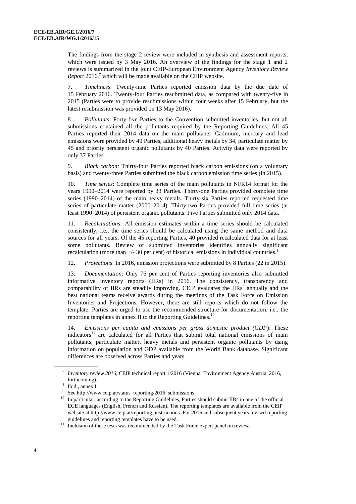The findings from the stage 2 review were included in synthesis and assessment reports, which were issued by 3 May 2016. An overview of the findings for the stage 1 and 2 reviews is summarized in the joint CEIP-European Environment Agency *Inventory Review Report* 2016*, <sup>7</sup>* which will be made available on the CEIP website.

7. *Timeliness*: Twenty-nine Parties reported emission data by the due date of 15 February 2016. Twenty-four Parties resubmitted data, as compared with twenty-five in 2015 (Parties were to provide resubmissions within four weeks after 15 February, but the latest resubmission was provided on 13 May 2016).

8. *Pollutants*: Forty-five Parties to the Convention submitted inventories, but not all submissions contained all the pollutants required by the Reporting Guidelines. All 45 Parties reported their 2014 data on the main pollutants. Cadmium, mercury and lead emissions were provided by 40 Parties, additional heavy metals by 34, particulate matter by 45 and priority persistent organic pollutants by 40 Parties. Activity data were reported by only 37 Parties.

9. *Black carbon:* Thirty-four Parties reported black carbon emissions (on a voluntary basis) and twenty-three Parties submitted the black carbon emission time series (in 2015).

10. *Time series*: Complete time series of the main pollutants in NFR14 format for the years 1990–2014 were reported by 33 Parties. Thirty-one Parties provided complete time series (1990–2014) of the main heavy metals. Thirty-six Parties reported requested time series of particulate matter (2000–2014). Thirty-two Parties provided full time series (at least 1990–2014) of persistent organic pollutants. Five Parties submitted only 2014 data.

11. *Recalculations:* All emission estimates within a time series should be calculated consistently, i.e., the time series should be calculated using the same method and data sources for all years. Of the 45 reporting Parties, 40 provided recalculated data for at least some pollutants. Review of submitted inventories identifies annually significant recalculation (more than  $+/-$  30 per cent) of historical emissions in individual countries.<sup>8</sup>

12. *Projections*: In 2016, emission projections were submitted by 8 Parties (22 in 2015).

13. *Documentation*: Only 76 per cent of Parties reporting inventories also submitted informative inventory reports (IIRs) in 2016. The consistency, transparency and comparability of IIRs are steadily improving. CEIP evaluates the  $IIRs<sup>9</sup>$  annually and the best national teams receive awards during the meetings of the Task Force on Emission Inventories and Projections. However, there are still reports which do not follow the template. Parties are urged to use the recommended structure for documentation, i.e., the reporting templates in annex II to the Reporting Guidelines.<sup>10</sup>

14. *Emissions per capita and emissions per gross domestic product (GDP*): These  $indicators<sup>11</sup>$  are calculated for all Parties that submit total national emissions of main pollutants, particulate matter, heavy metals and persistent organic pollutants by using information on population and GDP available from the World Bank database. Significant differences are observed across Parties and years.

<sup>7</sup> *Inventory review 2016*, CEIP technical report 1/2016 (Vienna, Environment Agency Austria, 2016, forthcoming).

<sup>8</sup> Ibid., annex I.

<sup>9</sup> Se[e http://www.ceip.at/status\\_reporting/2016\\_submissions.](http://www.ceip.at/status_reporting/2016_submissions)

<sup>&</sup>lt;sup>10</sup> In particular, according to the Reporting Guidelines, Parties should submit IIRs in one of the official ECE languages (English, French and Russian). The reporting templates are available from the CEIP website at [http://www.ceip.at/reporting\\_instructions.](http://www.ceip.at/reporting_instructions) For 2016 and subsequent years revised reporting guidelines and reporting templates have to be used.

<sup>&</sup>lt;sup>11</sup> Inclusion of these tests was recommended by the Task Force expert panel on review.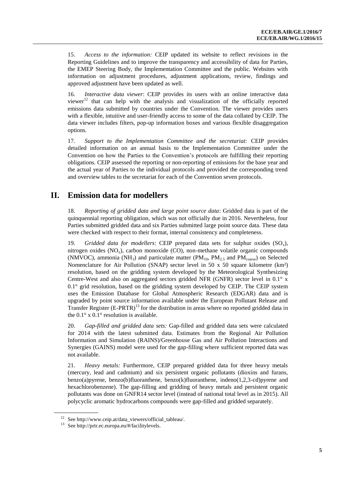15. *Access to the information:* CEIP updated its website to reflect revisions in the Reporting Guidelines and to improve the transparency and accessibility of data for Parties, the EMEP Steering Body, the Implementation Committee and the public. Websites with information on adjustment procedures, adjustment applications, review, findings and approved adjustment have been updated as well.

16. *Interactive data viewer*: CEIP provides its users with an online interactive data viewer $12$  that can help with the analysis and visualization of the officially reported emissions data submitted by countries under the Convention. The viewer provides users with a flexible, intuitive and user-friendly access to some of the data collated by CEIP. The data viewer includes filters, pop-up information boxes and various flexible disaggregation options.

17*. Support to the Implementation Committee and the secretariat:* CEIP provides detailed information on an annual basis to the Implementation Committee under the Convention on how the Parties to the Convention's protocols are fulfilling their reporting obligations. CEIP assessed the reporting or non-reporting of emissions for the base year and the actual year of Parties to the individual protocols and provided the corresponding trend and overview tables to the secretariat for each of the Convention seven protocols.

#### **II. Emission data for modellers**

18. *Reporting of gridded data and large point source data*: Gridded data is part of the quinquennial reporting obligation, which was not officially due in 2016. Nevertheless, four Parties submitted gridded data and six Parties submitted large point source data. These data were checked with respect to their format, internal consistency and completeness.

19. *Gridded data for modellers*: CEIP prepared data sets for sulphur oxides  $(SO<sub>x</sub>)$ , nitrogen oxides ( $NO_x$ ), carbon monoxide (CO), non-methane volatile organic compounds (NMVOC), ammonia (NH<sub>3</sub>) and particulate matter (PM<sub>10</sub>, PM<sub>2.5</sub> and PM<sub>coarse</sub>) on Selected Nomenclature for Air Pollution (SNAP) sector level in 50 x 50 square kilometre (km²) resolution, based on the gridding system developed by the Meteorological Synthesizing Centre-West and also on aggregated sectors gridded NFR (GNFR) sector level in  $0.1^\circ$  x 0.1° grid resolution, based on the gridding system developed by CEIP. The CEIP system uses the Emission Database for Global Atmospheric Research (EDGAR) data and is upgraded by point source information available under the European Pollutant Release and Transfer Register  $(E-PRTR)^{13}$  for the distribution in areas where no reported gridded data in the  $0.1^\circ$  x  $0.1^\circ$  resolution is available.

20. *Gap-filled and gridded data sets:* Gap-filled and gridded data sets were calculated for 2014 with the latest submitted data. Estimates from the Regional Air Pollution Information and Simulation (RAINS)/Greenhouse Gas and Air Pollution Interactions and Synergies (GAINS) model were used for the gap-filling where sufficient reported data was not available.

21. *Heavy metals:* Furthermore, CEIP prepared gridded data for three heavy metals (mercury, lead and cadmium) and six persistent organic pollutants (dioxins and furans, benzo(a)pyrene, benzo(b)fluoranthene, benzo(k)fluoranthene, indeno(1,2,3-cd)pyrene and hexachlorobenzene). The gap-filling and gridding of heavy metals and persistent organic pollutants was done on GNFR14 sector level (instead of national total level as in 2015). All polycyclic aromatic hydrocarbons compounds were gap-filled and gridded separately.

<sup>12</sup> Se[e http://www.ceip.at/data\\_viewers/official\\_tableau/.](http://www.ceip.at/data_viewers/official_tableau/)

<sup>13</sup> Se[e http://prtr.ec.europa.eu/#/facilitylevels.](http://prtr.ec.europa.eu/#/facilitylevels)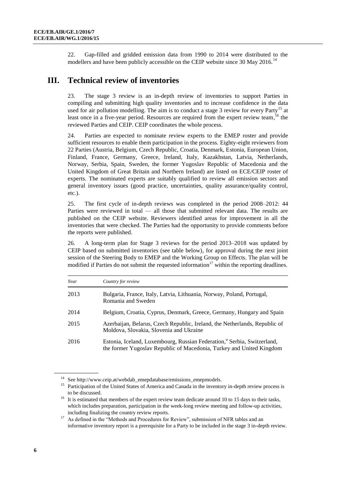22. Gap-filled and gridded emission data from 1990 to 2014 were distributed to the modellers and have been publicly accessible on the CEIP website since 30 May 2016.<sup>14</sup>

#### **III. Technical review of inventories**

23. The stage 3 review is an in-depth review of inventories to support Parties in compiling and submitting high quality inventories and to increase confidence in the data used for air pollution modelling. The aim is to conduct a stage 3 review for every Party<sup>15</sup> at least once in a five-year period. Resources are required from the expert review team,<sup>16</sup> the reviewed Parties and CEIP. CEIP coordinates the whole process.

24. Parties are expected to nominate review experts to the EMEP roster and provide sufficient resources to enable them participation in the process. Eighty-eight reviewers from 22 Parties (Austria, Belgium, Czech Republic, Croatia, Denmark, Estonia, European Union, Finland, France, Germany, Greece, Ireland, Italy, Kazakhstan, Latvia, Netherlands, Norway, Serbia, Spain, Sweden, the former Yugoslav Republic of Macedonia and the United Kingdom of Great Britain and Northern Ireland) are listed on ECE/CEIP roster of experts. The nominated experts are suitably qualified to review all emission sectors and general inventory issues (good practice, uncertainties, quality assurance/quality control, etc.).

25. The first cycle of in-depth reviews was completed in the period 2008–2012: 44 Parties were reviewed in total — all those that submitted relevant data. The results are published on the CEIP website. Reviewers identified areas for improvement in all the inventories that were checked. The Parties had the opportunity to provide comments before the reports were published.

26. A long-term plan for Stage 3 reviews for the period 2013–2018 was updated by CEIP based on submitted inventories (see table below), for approval during the next joint session of the Steering Body to EMEP and the Working Group on Effects. The plan will be modified if Parties do not submit the requested information<sup>17</sup> within the reporting deadlines.

| Year | Country for review                                                                                                                                          |
|------|-------------------------------------------------------------------------------------------------------------------------------------------------------------|
| 2013 | Bulgaria, France, Italy, Latvia, Lithuania, Norway, Poland, Portugal,<br>Romania and Sweden                                                                 |
| 2014 | Belgium, Croatia, Cyprus, Denmark, Greece, Germany, Hungary and Spain                                                                                       |
| 2015 | Azerbaijan, Belarus, Czech Republic, Ireland, the Netherlands, Republic of<br>Moldova, Slovakia, Slovenia and Ukraine                                       |
| 2016 | Estonia, Iceland, Luxembourg, Russian Federation, <sup>a</sup> Serbia, Switzerland,<br>the former Yugoslav Republic of Macedonia, Turkey and United Kingdom |

<sup>&</sup>lt;sup>14</sup> Se[e http://www.ceip.at/webdab\\_emepdatabase/emissions\\_emepmodels.](http://www.ceip.at/webdab_emepdatabase/emissions_emepmodels)

<sup>&</sup>lt;sup>15</sup> Participation of the United States of America and Canada in the inventory in-depth review process is to be discussed.

<sup>&</sup>lt;sup>16</sup> It is estimated that members of the expert review team dedicate around 10 to 15 days to their tasks, which includes preparation, participation in the week-long review meeting and follow-up activities, including finalizing the country review reports.

<sup>&</sup>lt;sup>17</sup> As defined in the "Methods and Procedures for Review", submission of NFR tables and an informative inventory report is a prerequisite for a Party to be included in the stage 3 in-depth review.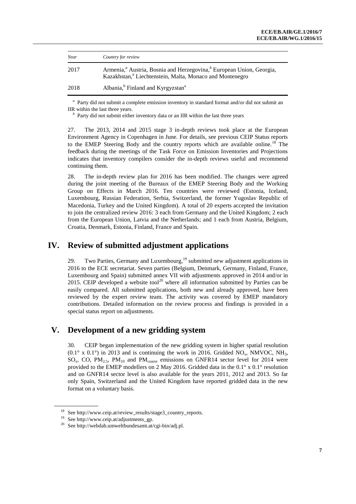| Year | Country for review                                                                                                                                                                 |
|------|------------------------------------------------------------------------------------------------------------------------------------------------------------------------------------|
| 2017 | Armenia, <sup><i>a</i></sup> Austria, Bosnia and Herzegovina, <sup><i>b</i></sup> European Union, Georgia,<br>Kazakhstan, <sup>a</sup> Liechtenstein, Malta, Monaco and Montenegro |
| 2018 | Albania, <sup>b</sup> Finland and Kyrgyzstan <sup>a</sup>                                                                                                                          |

*a* Party did not submit a complete emission inventory in standard format and/or did not submit an IIR within the last three years.

*b* Party did not submit either inventory data or an IIR within the last three years

27. The 2013, 2014 and 2015 stage 3 in-depth reviews took place at the European Environment Agency in Copenhagen in June. For details, see previous CEIP Status reports to the EMEP Steering Body and the country reports which are available online.<sup>18</sup> The feedback during the meetings of the Task Force on Emission Inventories and Projections indicates that inventory compilers consider the in-depth reviews useful and recommend continuing them.

28. The in-depth review plan for 2016 has been modified. The changes were agreed during the joint meeting of the Bureaux of the EMEP Steering Body and the Working Group on Effects in March 2016. Ten countries were reviewed (Estonia, Iceland, Luxembourg, Russian Federation, Serbia, Switzerland, the former Yugoslav Republic of Macedonia, Turkey and the United Kingdom). A total of 20 experts accepted the invitation to join the centralized review 2016: 3 each from Germany and the United Kingdom; 2 each from the European Union, Latvia and the Netherlands; and 1 each from Austria, Belgium, Croatia, Denmark, Estonia, Finland, France and Spain.

#### **IV. Review of submitted adjustment applications**

29. Two Parties, Germany and Luxembourg,<sup>19</sup> submitted new adjustment applications in 2016 to the ECE secretariat. Seven parties (Belgium, Denmark, Germany, Finland, France, Luxembourg and Spain) submitted annex VII with adjustments approved in 2014 and/or in 2015. CEIP developed a website tool $^{20}$  where all information submitted by Parties can be easily compared. All submitted applications, both new and already approved, have been reviewed by the expert review team. The activity was covered by EMEP mandatory contributions. Detailed information on the review process and findings is provided in a special status report on adjustments.

#### **V. Development of a new gridding system**

30. CEIP began implementation of the new gridding system in higher spatial resolution  $(0.1^\circ \times 0.1^\circ)$  in 2013 and is continuing the work in 2016. Gridded NO<sub>x</sub>, NMVOC, NH<sub>3</sub>,  $SO_x$ , CO, PM<sub>2.5</sub>, PM<sub>10</sub> and PM<sub>coarse</sub> emissions on GNFR14 sector level for 2014 were provided to the EMEP modellers on 2 May 2016. Gridded data in the 0.1° x 0.1° resolution and on GNFR14 sector level is also available for the years 2011, 2012 and 2013. So far only Spain, Switzerland and the United Kingdom have reported gridded data in the new format on a voluntary basis.

<sup>18</sup> Se[e http://www.ceip.at/review\\_results/stage3\\_country\\_reports.](http://www.ceip.at/review_results/stage3_country_reports) 

<sup>19</sup> Se[e http://www.ceip.at/adjustments\\_gp.](http://www.ceip.at/adjustments_gp) 

 $^{20}$  Se[e http://webdab.umweltbundesamt.at/cgi-bin/adj.pl.](http://webdab.umweltbundesamt.at/cgi-bin/adj.pl)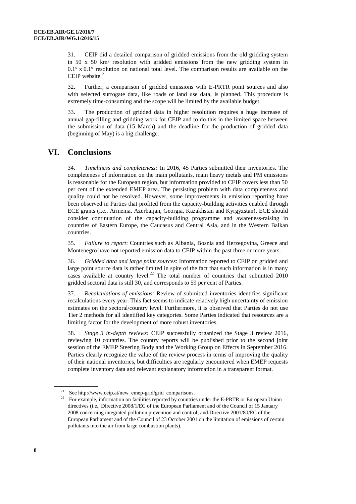31. CEIP did a detailed comparison of gridded emissions from the old gridding system in 50 x 50 km² resolution with gridded emissions from the new gridding system in  $0.1^\circ$  x  $0.1^\circ$  resolution on national total level. The comparison results are available on the CEIP website. $21$ 

32. Further, a comparison of gridded emissions with E-PRTR point sources and also with selected surrogate data, like roads or land use data, is planned. This procedure is extremely time-consuming and the scope will be limited by the available budget.

33. The production of gridded data in higher resolution requires a huge increase of annual gap-filling and gridding work for CEIP and to do this in the limited space between the submission of data (15 March) and the deadline for the production of gridded data (beginning of May) is a big challenge.

## **VI. Conclusions**

34. *Timeliness and completeness:* In 2016, 45 Parties submitted their inventories. The completeness of information on the main pollutants, main heavy metals and PM emissions is reasonable for the European region, but information provided to CEIP covers less than 50 per cent of the extended EMEP area. The persisting problem with data completeness and quality could not be resolved. However, some improvements in emission reporting have been observed in Parties that profited from the capacity-building activities enabled through ECE grants (i.e., Armenia, Azerbaijan, Georgia, Kazakhstan and Kyrgyzstan). ECE should consider continuation of the capacity-building programme and awareness-raising in countries of Eastern Europe, the Caucasus and Central Asia, and in the Western Balkan countries.

35. *Failure to report*: Countries such as Albania, Bosnia and Herzegovina, Greece and Montenegro have not reported emission data to CEIP within the past three or more years.

36. *Gridded data and large point sources*: Information reported to CEIP on gridded and large point source data is rather limited in spite of the fact that such information is in many cases available at country level.<sup>22</sup> The total number of countries that submitted 2010 gridded sectoral data is still 30, and corresponds to 59 per cent of Parties.

37. *Recalculations of emissions:* Review of submitted inventories identifies significant recalculations every year. This fact seems to indicate relatively high uncertainty of emission estimates on the sectoral/country level. Furthermore, it is observed that Parties do not use Tier 2 methods for all identified key categories. Some Parties indicated that resources are a limiting factor for the development of more robust inventories.

38. *Stage 3 in-depth reviews:* CEIP successfully organized the Stage 3 review 2016, reviewing 10 countries. The country reports will be published prior to the second joint session of the EMEP Steering Body and the Working Group on Effects in September 2016. Parties clearly recognize the value of the review process in terms of improving the quality of their national inventories, but difficulties are regularly encountered when EMEP requests complete inventory data and relevant explanatory information in a transparent format.

<sup>&</sup>lt;sup>21</sup> See [http://www.ceip.at/new\\_emep-grid/grid\\_comparisons.](http://www.ceip.at/new_emep-grid/grid_comparisons)<br><sup>22</sup> Expressional information or field it is associated by sourcide

<sup>22</sup> For example, information on facilities reported by countries under the E-PRTR or European Union directives (i.e., Directive 2008/1/EC of the European Parliament and of the Council of 15 January 2008 concerning integrated pollution prevention and control; and Directive 2001/80/EC of the European Parliament and of the Council of 23 October 2001 on the limitation of emissions of certain pollutants into the air from large combustion plants).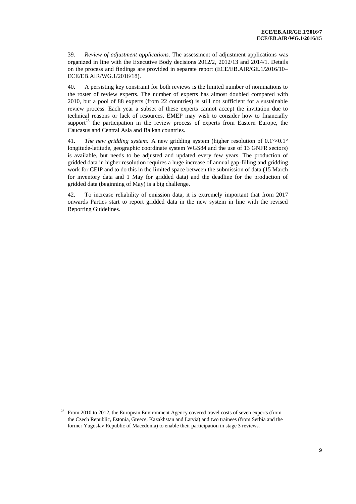39. *Review of adjustment applications*. The assessment of adjustment applications was organized in line with the Executive Body decisions 2012/2, 2012/13 and 2014/1. Details on the process and findings are provided in separate report (ECE/EB.AIR/GE.1/2016/10– ECE/EB.AIR/WG.1/2016/18).

40. A persisting key constraint for both reviews is the limited number of nominations to the roster of review experts. The number of experts has almost doubled compared with 2010, but a pool of 88 experts (from 22 countries) is still not sufficient for a sustainable review process. Each year a subset of these experts cannot accept the invitation due to technical reasons or lack of resources. EMEP may wish to consider how to financially support<sup>23</sup> the participation in the review process of experts from Eastern Europe, the Caucasus and Central Asia and Balkan countries.

41. *The new gridding system:* A new gridding system (higher resolution of 0.1°×0.1° longitude-latitude, geographic coordinate system WGS84 and the use of 13 GNFR sectors) is available, but needs to be adjusted and updated every few years. The production of gridded data in higher resolution requires a huge increase of annual gap-filling and gridding work for CEIP and to do this in the limited space between the submission of data (15 March for inventory data and 1 May for gridded data) and the deadline for the production of gridded data (beginning of May) is a big challenge.

42. To increase reliability of emission data, it is extremely important that from 2017 onwards Parties start to report gridded data in the new system in line with the revised Reporting Guidelines.

<sup>&</sup>lt;sup>23</sup> From 2010 to 2012, the European Environment Agency covered travel costs of seven experts (from the Czech Republic, Estonia, Greece, Kazakhstan and Latvia) and two trainees (from Serbia and the former Yugoslav Republic of Macedonia) to enable their participation in stage 3 reviews.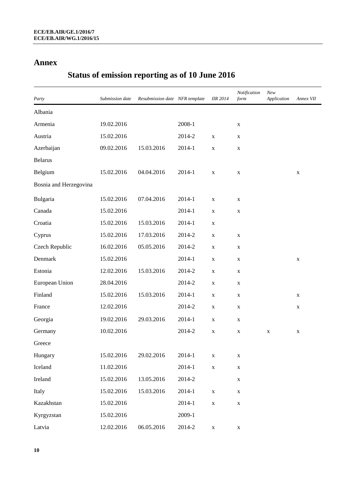### **Annex**

# **Status of emission reporting as of 10 June 2016**

| Party                  | Submission date | Resubmission date NFR template |        | <b>IIR 2014</b> | Notification<br>form | New<br>Application | Annex VII |
|------------------------|-----------------|--------------------------------|--------|-----------------|----------------------|--------------------|-----------|
| Albania                |                 |                                |        |                 |                      |                    |           |
| Armenia                | 19.02.2016      |                                | 2008-1 |                 | $\mathbf X$          |                    |           |
| Austria                | 15.02.2016      |                                | 2014-2 | X               | $\mathbf X$          |                    |           |
| Azerbaijan             | 09.02.2016      | 15.03.2016                     | 2014-1 | X               | $\mathbf X$          |                    |           |
| <b>Belarus</b>         |                 |                                |        |                 |                      |                    |           |
| Belgium                | 15.02.2016      | 04.04.2016                     | 2014-1 | $\mathbf X$     | $\mathbf X$          |                    | X         |
| Bosnia and Herzegovina |                 |                                |        |                 |                      |                    |           |
| Bulgaria               | 15.02.2016      | 07.04.2016                     | 2014-1 | X               | X                    |                    |           |
| Canada                 | 15.02.2016      |                                | 2014-1 | X               | $\mathbf X$          |                    |           |
| Croatia                | 15.02.2016      | 15.03.2016                     | 2014-1 | X               |                      |                    |           |
| Cyprus                 | 15.02.2016      | 17.03.2016                     | 2014-2 | X               | X                    |                    |           |
| Czech Republic         | 16.02.2016      | 05.05.2016                     | 2014-2 | X               | X                    |                    |           |
| Denmark                | 15.02.2016      |                                | 2014-1 | X               | X                    |                    | X         |
| Estonia                | 12.02.2016      | 15.03.2016                     | 2014-2 | X               | X                    |                    |           |
| European Union         | 28.04.2016      |                                | 2014-2 | X               | X                    |                    |           |
| Finland                | 15.02.2016      | 15.03.2016                     | 2014-1 | X               | X                    |                    | X         |
| France                 | 12.02.2016      |                                | 2014-2 | X               | X                    |                    | X         |
| Georgia                | 19.02.2016      | 29.03.2016                     | 2014-1 | X               | X                    |                    |           |
| Germany                | 10.02.2016      |                                | 2014-2 | X               | X                    | X                  | X         |
| Greece                 |                 |                                |        |                 |                      |                    |           |
| Hungary                | 15.02.2016      | 29.02.2016                     | 2014-1 | X               | X                    |                    |           |
| Iceland                | 11.02.2016      |                                | 2014-1 | $\mathbf X$     | $\mathbf X$          |                    |           |
| Ireland                | 15.02.2016      | 13.05.2016                     | 2014-2 |                 | $\mathbf X$          |                    |           |
| Italy                  | 15.02.2016      | 15.03.2016                     | 2014-1 | $\mathbf X$     | $\mathbf X$          |                    |           |
| Kazakhstan             | 15.02.2016      |                                | 2014-1 | X               | $\mathbf X$          |                    |           |
| Kyrgyzstan             | 15.02.2016      |                                | 2009-1 |                 |                      |                    |           |
| Latvia                 | 12.02.2016      | 06.05.2016                     | 2014-2 | $\mathbf X$     | X                    |                    |           |

**10**